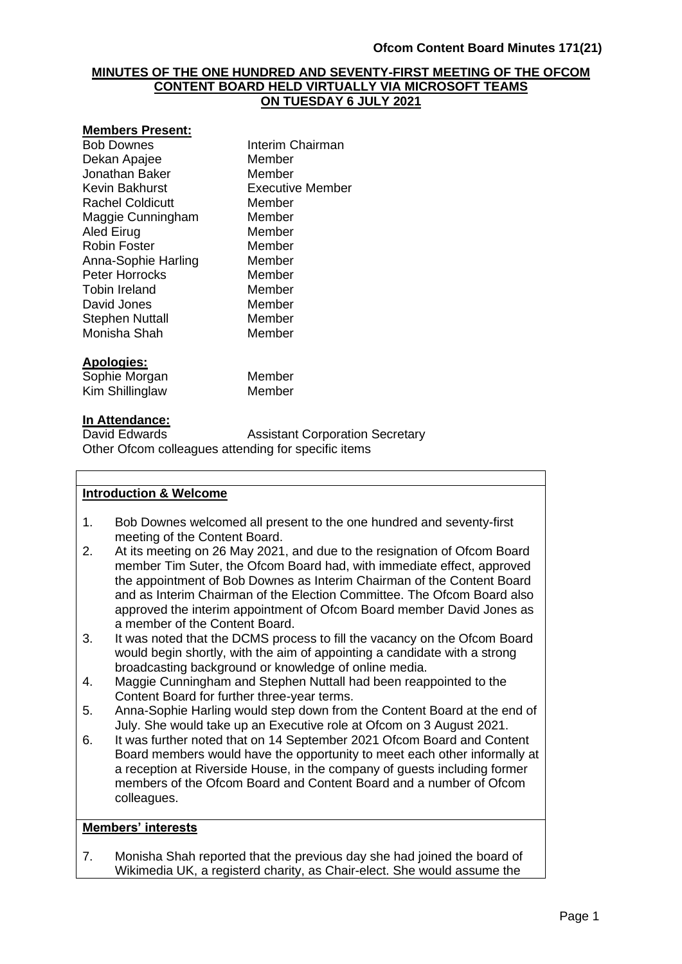### **MINUTES OF THE ONE HUNDRED AND SEVENTY-FIRST MEETING OF THE OFCOM CONTENT BOARD HELD VIRTUALLY VIA MICROSOFT TEAMS ON TUESDAY 6 JULY 2021**

#### **Members Present:**

Bob Downes **Interim Chairman** Dekan Apajee Member Jonathan Baker Member Kevin Bakhurst Executive Member Rachel Coldicutt Member Maggie Cunningham Member Aled Eirug Member Robin Foster Member Anna-Sophie Harling Member Peter Horrocks Member Tobin Ireland Member David Jones Member Stephen Nuttall Member<br>
Monisha Shah Member Monisha Shah

### **Apologies:**

Sophie Morgan Member Kim Shillinglaw Member

#### **In Attendance:**

David Edwards **Assistant Corporation Secretary** Other Ofcom colleagues attending for specific items

### **Introduction & Welcome**

- 1. Bob Downes welcomed all present to the one hundred and seventy-first meeting of the Content Board.
- 2. At its meeting on 26 May 2021, and due to the resignation of Ofcom Board member Tim Suter, the Ofcom Board had, with immediate effect, approved the appointment of Bob Downes as Interim Chairman of the Content Board and as Interim Chairman of the Election Committee. The Ofcom Board also approved the interim appointment of Ofcom Board member David Jones as a member of the Content Board.
- 3. It was noted that the DCMS process to fill the vacancy on the Ofcom Board would begin shortly, with the aim of appointing a candidate with a strong broadcasting background or knowledge of online media.
- 4. Maggie Cunningham and Stephen Nuttall had been reappointed to the Content Board for further three-year terms.
- 5. Anna-Sophie Harling would step down from the Content Board at the end of July. She would take up an Executive role at Ofcom on 3 August 2021.
- 6. It was further noted that on 14 September 2021 Ofcom Board and Content Board members would have the opportunity to meet each other informally at a reception at Riverside House, in the company of guests including former members of the Ofcom Board and Content Board and a number of Ofcom colleagues.

## **Members' interests**

7. Monisha Shah reported that the previous day she had joined the board of Wikimedia UK, a registerd charity, as Chair-elect. She would assume the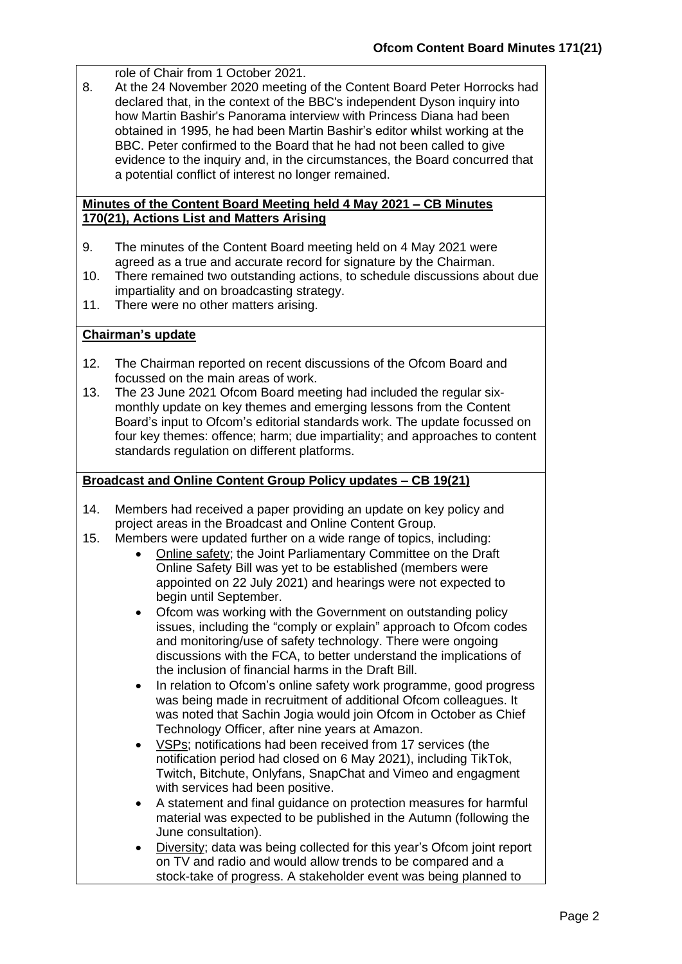role of Chair from 1 October 2021.

8. At the 24 November 2020 meeting of the Content Board Peter Horrocks had declared that, in the context of the BBC's independent Dyson inquiry into how Martin Bashir's Panorama interview with Princess Diana had been obtained in 1995, he had been Martin Bashir's editor whilst working at the BBC. Peter confirmed to the Board that he had not been called to give evidence to the inquiry and, in the circumstances, the Board concurred that a potential conflict of interest no longer remained.

#### **Minutes of the Content Board Meeting held 4 May 2021 – CB Minutes 170(21), Actions List and Matters Arising**

- 9. The minutes of the Content Board meeting held on 4 May 2021 were agreed as a true and accurate record for signature by the Chairman.
- 10. There remained two outstanding actions, to schedule discussions about due impartiality and on broadcasting strategy.
- 11. There were no other matters arising.

## **Chairman's update**

- 12. The Chairman reported on recent discussions of the Ofcom Board and focussed on the main areas of work.
- 13. The 23 June 2021 Ofcom Board meeting had included the regular sixmonthly update on key themes and emerging lessons from the Content Board's input to Ofcom's editorial standards work. The update focussed on four key themes: offence; harm; due impartiality; and approaches to content standards regulation on different platforms.

## **Broadcast and Online Content Group Policy updates – CB 19(21)**

- 14. Members had received a paper providing an update on key policy and project areas in the Broadcast and Online Content Group.
- 15. Members were updated further on a wide range of topics, including:
	- Online safety; the Joint Parliamentary Committee on the Draft Online Safety Bill was yet to be established (members were appointed on 22 July 2021) and hearings were not expected to begin until September.
	- Ofcom was working with the Government on outstanding policy issues, including the "comply or explain" approach to Ofcom codes and monitoring/use of safety technology. There were ongoing discussions with the FCA, to better understand the implications of the inclusion of financial harms in the Draft Bill.
	- In relation to Ofcom's online safety work programme, good progress was being made in recruitment of additional Ofcom colleagues. It was noted that Sachin Jogia would join Ofcom in October as Chief Technology Officer, after nine years at Amazon.
	- VSPs; notifications had been received from 17 services (the notification period had closed on 6 May 2021), including TikTok, Twitch, Bitchute, Onlyfans, SnapChat and Vimeo and engagment with services had been positive.
	- A statement and final guidance on protection measures for harmful material was expected to be published in the Autumn (following the June consultation).
	- Diversity; data was being collected for this year's Ofcom joint report on TV and radio and would allow trends to be compared and a stock-take of progress. A stakeholder event was being planned to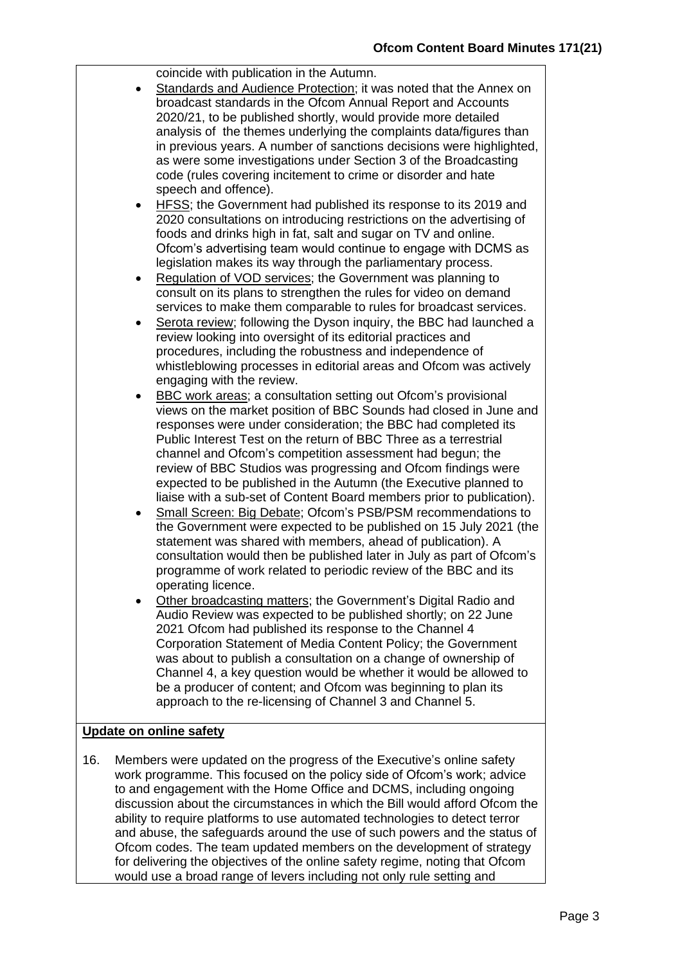coincide with publication in the Autumn.

- Standards and Audience Protection; it was noted that the Annex on broadcast standards in the Ofcom Annual Report and Accounts 2020/21, to be published shortly, would provide more detailed analysis of the themes underlying the complaints data/figures than in previous years. A number of sanctions decisions were highlighted, as were some investigations under Section 3 of the Broadcasting code (rules covering incitement to crime or disorder and hate speech and offence).
- HFSS; the Government had published its response to its 2019 and 2020 consultations on introducing restrictions on the advertising of foods and drinks high in fat, salt and sugar on TV and online. Ofcom's advertising team would continue to engage with DCMS as legislation makes its way through the parliamentary process.
- Regulation of VOD services; the Government was planning to consult on its plans to strengthen the rules for video on demand services to make them comparable to rules for broadcast services.
- Serota review; following the Dyson inquiry, the BBC had launched a review looking into oversight of its editorial practices and procedures, including the robustness and independence of whistleblowing processes in editorial areas and Ofcom was actively engaging with the review.
- BBC work areas; a consultation setting out Ofcom's provisional views on the market position of BBC Sounds had closed in June and responses were under consideration; the BBC had completed its Public Interest Test on the return of BBC Three as a terrestrial channel and Ofcom's competition assessment had begun; the review of BBC Studios was progressing and Ofcom findings were expected to be published in the Autumn (the Executive planned to liaise with a sub-set of Content Board members prior to publication).
- Small Screen: Big Debate; Ofcom's PSB/PSM recommendations to the Government were expected to be published on 15 July 2021 (the statement was shared with members, ahead of publication). A consultation would then be published later in July as part of Ofcom's programme of work related to periodic review of the BBC and its operating licence.
- Other broadcasting matters; the Government's Digital Radio and Audio Review was expected to be published shortly; on 22 June 2021 Ofcom had published its response to the Channel 4 Corporation Statement of Media Content Policy; the Government was about to publish a consultation on a change of ownership of Channel 4, a key question would be whether it would be allowed to be a producer of content; and Ofcom was beginning to plan its approach to the re-licensing of Channel 3 and Channel 5.

### **Update on online safety**

16. Members were updated on the progress of the Executive's online safety work programme. This focused on the policy side of Ofcom's work; advice to and engagement with the Home Office and DCMS, including ongoing discussion about the circumstances in which the Bill would afford Ofcom the ability to require platforms to use automated technologies to detect terror and abuse, the safeguards around the use of such powers and the status of Ofcom codes. The team updated members on the development of strategy for delivering the objectives of the online safety regime, noting that Ofcom would use a broad range of levers including not only rule setting and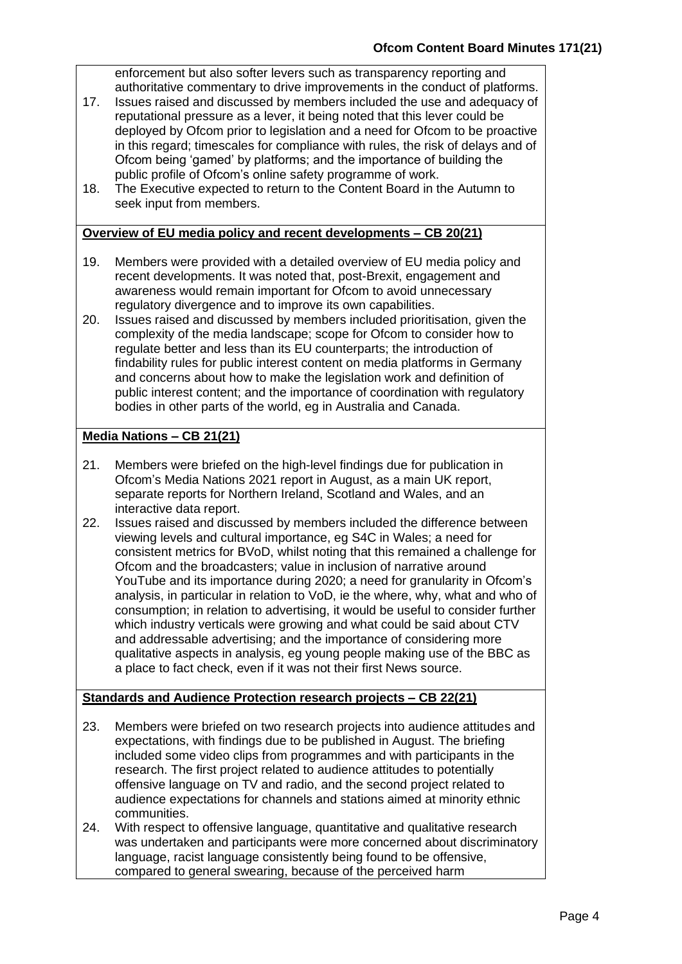enforcement but also softer levers such as transparency reporting and authoritative commentary to drive improvements in the conduct of platforms.

- 17. Issues raised and discussed by members included the use and adequacy of reputational pressure as a lever, it being noted that this lever could be deployed by Ofcom prior to legislation and a need for Ofcom to be proactive in this regard; timescales for compliance with rules, the risk of delays and of Ofcom being 'gamed' by platforms; and the importance of building the public profile of Ofcom's online safety programme of work.
- 18. The Executive expected to return to the Content Board in the Autumn to seek input from members.

## **Overview of EU media policy and recent developments – CB 20(21)**

- 19. Members were provided with a detailed overview of EU media policy and recent developments. It was noted that, post-Brexit, engagement and awareness would remain important for Ofcom to avoid unnecessary regulatory divergence and to improve its own capabilities.
- 20. Issues raised and discussed by members included prioritisation, given the complexity of the media landscape; scope for Ofcom to consider how to regulate better and less than its EU counterparts; the introduction of findability rules for public interest content on media platforms in Germany and concerns about how to make the legislation work and definition of public interest content; and the importance of coordination with regulatory bodies in other parts of the world, eg in Australia and Canada.

# **Media Nations – CB 21(21)**

- 21. Members were briefed on the high-level findings due for publication in Ofcom's Media Nations 2021 report in August, as a main UK report, separate reports for Northern Ireland, Scotland and Wales, and an interactive data report.
- 22. Issues raised and discussed by members included the difference between viewing levels and cultural importance, eg S4C in Wales; a need for consistent metrics for BVoD, whilst noting that this remained a challenge for Ofcom and the broadcasters; value in inclusion of narrative around YouTube and its importance during 2020; a need for granularity in Ofcom's analysis, in particular in relation to VoD, ie the where, why, what and who of consumption; in relation to advertising, it would be useful to consider further which industry verticals were growing and what could be said about CTV and addressable advertising; and the importance of considering more qualitative aspects in analysis, eg young people making use of the BBC as a place to fact check, even if it was not their first News source.

# **Standards and Audience Protection research projects – CB 22(21)**

- 23. Members were briefed on two research projects into audience attitudes and expectations, with findings due to be published in August. The briefing included some video clips from programmes and with participants in the research. The first project related to audience attitudes to potentially offensive language on TV and radio, and the second project related to audience expectations for channels and stations aimed at minority ethnic communities.
- 24. With respect to offensive language, quantitative and qualitative research was undertaken and participants were more concerned about discriminatory language, racist language consistently being found to be offensive, compared to general swearing, because of the perceived harm